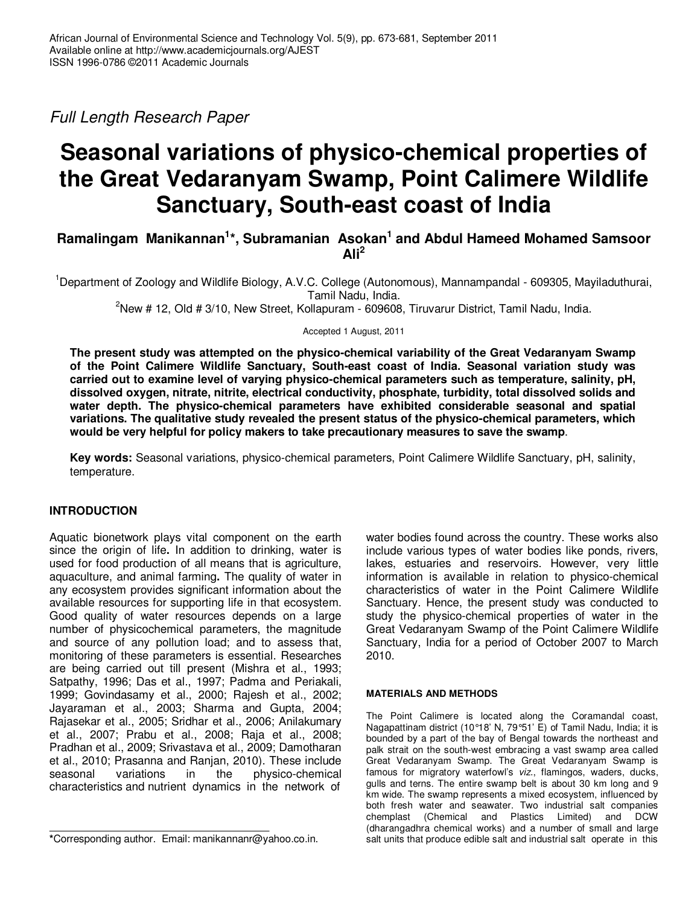Full Length Research Paper

# **Seasonal variations of physico-chemical properties of the Great Vedaranyam Swamp, Point Calimere Wildlife Sanctuary, South-east coast of India**

Ramalingam Manikannan<sup>1\*</sup>, Subramanian Asokan<sup>1</sup> and Abdul Hameed Mohamed Samsoor **Ali<sup>2</sup>**

<sup>1</sup>Department of Zoology and Wildlife Biology, A.V.C. College (Autonomous), Mannampandal - 609305, Mayiladuthurai, Tamil Nadu, India.

 $2N$ ew # 12, Old # 3/10, New Street, Kollapuram - 609608, Tiruvarur District, Tamil Nadu, India.

Accepted 1 August, 2011

**The present study was attempted on the physico-chemical variability of the Great Vedaranyam Swamp of the Point Calimere Wildlife Sanctuary, South-east coast of India. Seasonal variation study was carried out to examine level of varying physico-chemical parameters such as temperature, salinity, pH, dissolved oxygen, nitrate, nitrite, electrical conductivity, phosphate, turbidity, total dissolved solids and water depth. The physico-chemical parameters have exhibited considerable seasonal and spatial variations. The qualitative study revealed the present status of the physico-chemical parameters, which would be very helpful for policy makers to take precautionary measures to save the swamp**.

**Key words:** Seasonal variations, physico-chemical parameters, Point Calimere Wildlife Sanctuary, pH, salinity, temperature.

# **INTRODUCTION**

Aquatic bionetwork plays vital component on the earth since the origin of life**.** In addition to drinking, water is used for food production of all means that is agriculture, aquaculture, and animal farming**.** The quality of water in any ecosystem provides significant information about the available resources for supporting life in that ecosystem. Good quality of water resources depends on a large number of physicochemical parameters, the magnitude and source of any pollution load; and to assess that, monitoring of these parameters is essential. Researches are being carried out till present (Mishra et al., 1993; Satpathy, 1996; Das et al., 1997; Padma and Periakali, 1999; Govindasamy et al., 2000; Rajesh et al., 2002; Jayaraman et al., 2003; Sharma and Gupta, 2004; Rajasekar et al., 2005; Sridhar et al., 2006; Anilakumary et al., 2007; Prabu et al., 2008; Raja et al., 2008; Pradhan et al., 2009; Srivastava et al., 2009; Damotharan et al., 2010; Prasanna and Ranjan, 2010). These include seasonal variations in the physico-chemical characteristics and nutrient dynamics in the network of

**\***Corresponding author. Email: manikannanr@yahoo.co.in.

water bodies found across the country. These works also include various types of water bodies like ponds, rivers, lakes, estuaries and reservoirs. However, very little information is available in relation to physico-chemical characteristics of water in the Point Calimere Wildlife Sanctuary. Hence, the present study was conducted to study the physico-chemical properties of water in the Great Vedaranyam Swamp of the Point Calimere Wildlife Sanctuary, India for a period of October 2007 to March 2010.

#### **MATERIALS AND METHODS**

The Point Calimere is located along the Coramandal coast, Nagapattinam district (10°18' N, 79°51' E) of Tamil Nadu, India; it is bounded by a part of the bay of Bengal towards the northeast and palk strait on the south-west embracing a vast swamp area called Great Vedaranyam Swamp. The Great Vedaranyam Swamp is famous for migratory waterfowl's viz., flamingos, waders, ducks, gulls and terns. The entire swamp belt is about 30 km long and 9 km wide. The swamp represents a mixed ecosystem, influenced by both fresh water and seawater. Two industrial salt companies chemplast (Chemical and Plastics Limited) and DCW (dharangadhra chemical works) and a number of small and large salt units that produce edible salt and industrial salt operate in this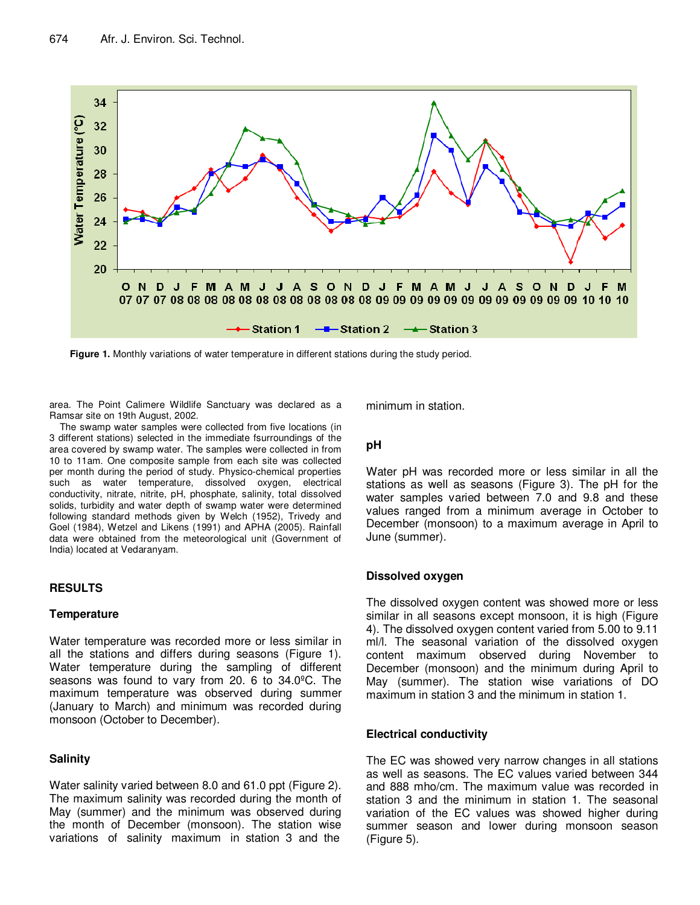

**Figure 1.** Monthly variations of water temperature in different stations during the study period.

area. The Point Calimere Wildlife Sanctuary was declared as a Ramsar site on 19th August, 2002.

The swamp water samples were collected from five locations (in 3 different stations) selected in the immediate fsurroundings of the area covered by swamp water. The samples were collected in from 10 to 11am. One composite sample from each site was collected per month during the period of study. Physico-chemical properties such as water temperature, dissolved oxygen, electrical conductivity, nitrate, nitrite, pH, phosphate, salinity, total dissolved solids, turbidity and water depth of swamp water were determined following standard methods given by Welch (1952), Trivedy and Goel (1984), Wetzel and Likens (1991) and APHA (2005). Rainfall data were obtained from the meteorological unit (Government of India) located at Vedaranyam.

### **RESULTS**

#### **Temperature**

Water temperature was recorded more or less similar in all the stations and differs during seasons (Figure 1). Water temperature during the sampling of different seasons was found to vary from 20. 6 to 34.0ºC. The maximum temperature was observed during summer (January to March) and minimum was recorded during monsoon (October to December).

### **Salinity**

Water salinity varied between 8.0 and 61.0 ppt (Figure 2). The maximum salinity was recorded during the month of May (summer) and the minimum was observed during the month of December (monsoon). The station wise variations of salinity maximum in station 3 and the

minimum in station.

### **pH**

Water pH was recorded more or less similar in all the stations as well as seasons (Figure 3). The pH for the water samples varied between 7.0 and 9.8 and these values ranged from a minimum average in October to December (monsoon) to a maximum average in April to June (summer).

### **Dissolved oxygen**

The dissolved oxygen content was showed more or less similar in all seasons except monsoon, it is high (Figure 4). The dissolved oxygen content varied from 5.00 to 9.11 ml/l. The seasonal variation of the dissolved oxygen content maximum observed during November to December (monsoon) and the minimum during April to May (summer). The station wise variations of DO maximum in station 3 and the minimum in station 1.

### **Electrical conductivity**

The EC was showed very narrow changes in all stations as well as seasons. The EC values varied between 344 and 888 mho/cm. The maximum value was recorded in station 3 and the minimum in station 1. The seasonal variation of the EC values was showed higher during summer season and lower during monsoon season (Figure 5).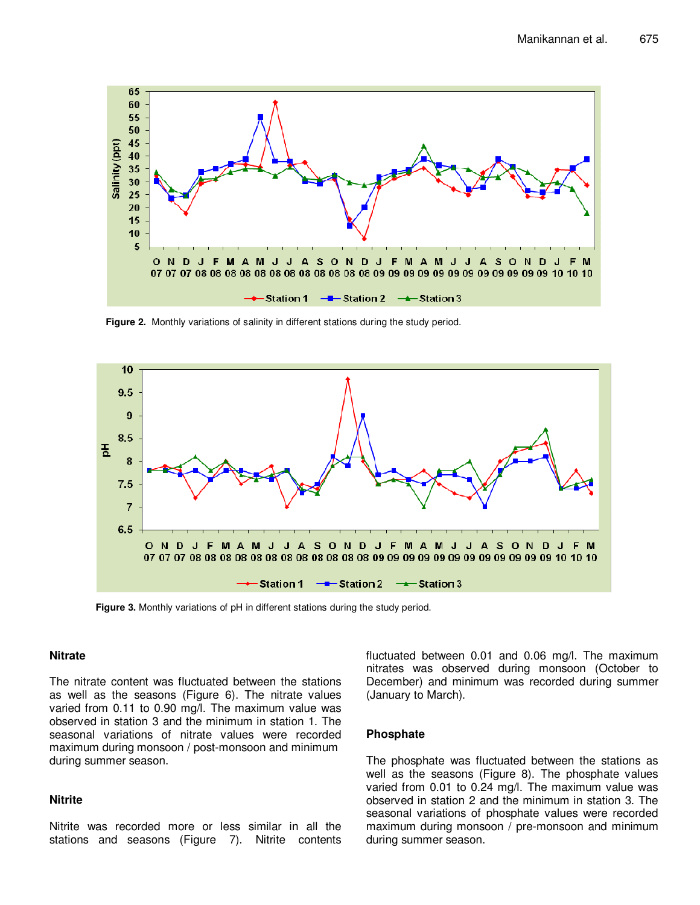

**Figure 2.** Monthly variations of salinity in different stations during the study period.



**Figure 3.** Monthly variations of pH in different stations during the study period.

#### **Nitrate**

The nitrate content was fluctuated between the stations as well as the seasons (Figure 6). The nitrate values varied from 0.11 to 0.90 mg/l. The maximum value was observed in station 3 and the minimum in station 1. The seasonal variations of nitrate values were recorded maximum during monsoon / post-monsoon and minimum during summer season.

#### **Nitrite**

Nitrite was recorded more or less similar in all the stations and seasons (Figure 7). Nitrite contents fluctuated between 0.01 and 0.06 mg/l. The maximum nitrates was observed during monsoon (October to December) and minimum was recorded during summer (January to March).

#### **Phosphate**

The phosphate was fluctuated between the stations as well as the seasons (Figure 8). The phosphate values varied from 0.01 to 0.24 mg/l. The maximum value was observed in station 2 and the minimum in station 3. The seasonal variations of phosphate values were recorded maximum during monsoon / pre-monsoon and minimum during summer season.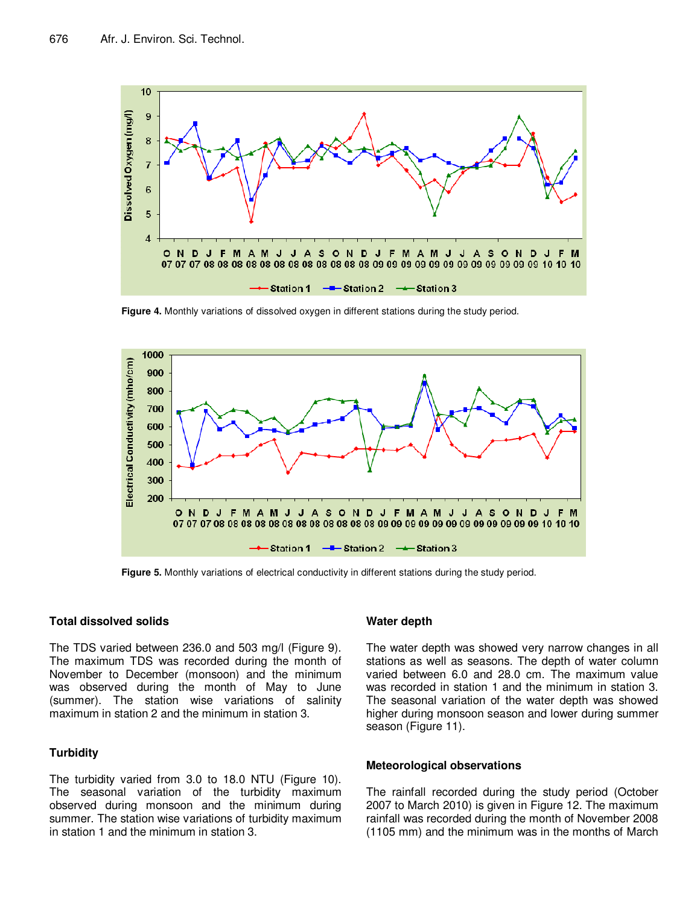

**Figure 4.** Monthly variations of dissolved oxygen in different stations during the study period.



**Figure 5.** Monthly variations of electrical conductivity in different stations during the study period.

#### **Total dissolved solids**

The TDS varied between 236.0 and 503 mg/l (Figure 9). The maximum TDS was recorded during the month of November to December (monsoon) and the minimum was observed during the month of May to June (summer). The station wise variations of salinity maximum in station 2 and the minimum in station 3.

#### **Turbidity**

The turbidity varied from 3.0 to 18.0 NTU (Figure 10). The seasonal variation of the turbidity maximum observed during monsoon and the minimum during summer. The station wise variations of turbidity maximum in station 1 and the minimum in station 3.

#### **Water depth**

The water depth was showed very narrow changes in all stations as well as seasons. The depth of water column varied between 6.0 and 28.0 cm. The maximum value was recorded in station 1 and the minimum in station 3. The seasonal variation of the water depth was showed higher during monsoon season and lower during summer season (Figure 11).

#### **Meteorological observations**

The rainfall recorded during the study period (October 2007 to March 2010) is given in Figure 12. The maximum rainfall was recorded during the month of November 2008 (1105 mm) and the minimum was in the months of March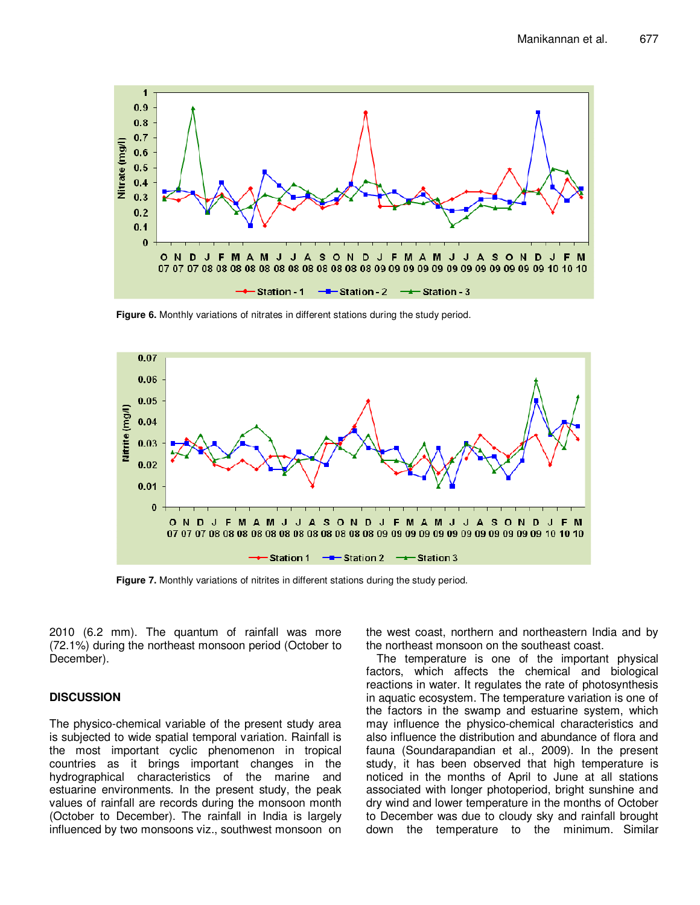

**Figure 6.** Monthly variations of nitrates in different stations during the study period.



**Figure 7.** Monthly variations of nitrites in different stations during the study period.

2010 (6.2 mm). The quantum of rainfall was more (72.1%) during the northeast monsoon period (October to December).

### **DISCUSSION**

The physico-chemical variable of the present study area is subjected to wide spatial temporal variation. Rainfall is the most important cyclic phenomenon in tropical countries as it brings important changes in the hydrographical characteristics of the marine and estuarine environments. In the present study, the peak values of rainfall are records during the monsoon month (October to December). The rainfall in India is largely influenced by two monsoons viz., southwest monsoon on the west coast, northern and northeastern India and by the northeast monsoon on the southeast coast.

The temperature is one of the important physical factors, which affects the chemical and biological reactions in water. It regulates the rate of photosynthesis in aquatic ecosystem. The temperature variation is one of the factors in the swamp and estuarine system, which may influence the physico-chemical characteristics and also influence the distribution and abundance of flora and fauna (Soundarapandian et al., 2009). In the present study, it has been observed that high temperature is noticed in the months of April to June at all stations associated with longer photoperiod, bright sunshine and dry wind and lower temperature in the months of October to December was due to cloudy sky and rainfall brought down the temperature to the minimum. Similar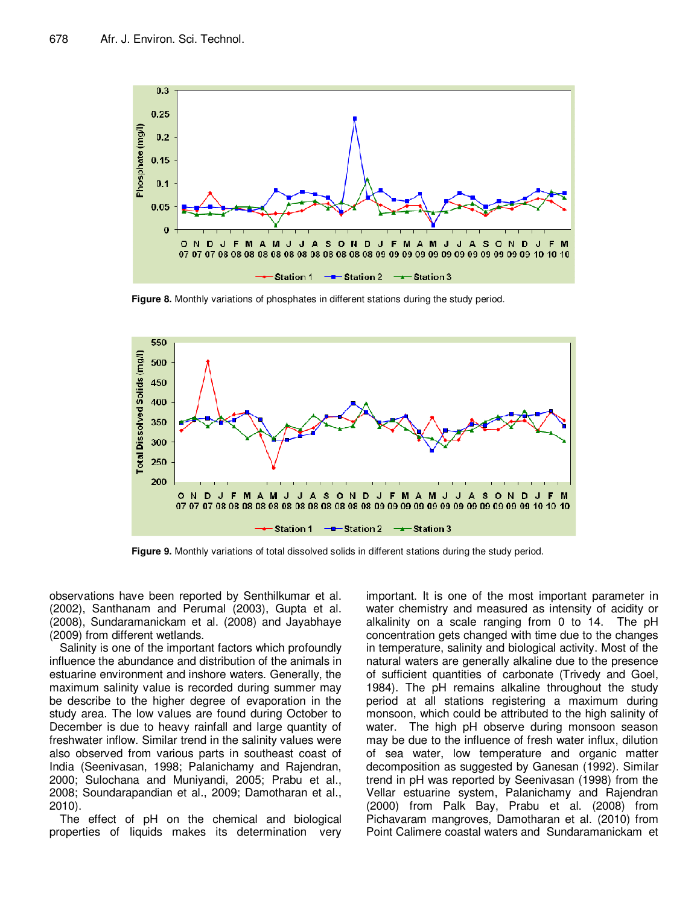

**Figure 8.** Monthly variations of phosphates in different stations during the study period.



**Figure 9.** Monthly variations of total dissolved solids in different stations during the study period.

observations have been reported by Senthilkumar et al. (2002), Santhanam and Perumal (2003), Gupta et al. (2008), Sundaramanickam et al. (2008) and Jayabhaye (2009) from different wetlands.

Salinity is one of the important factors which profoundly influence the abundance and distribution of the animals in estuarine environment and inshore waters. Generally, the maximum salinity value is recorded during summer may be describe to the higher degree of evaporation in the study area. The low values are found during October to December is due to heavy rainfall and large quantity of freshwater inflow. Similar trend in the salinity values were also observed from various parts in southeast coast of India (Seenivasan, 1998; Palanichamy and Rajendran, 2000; Sulochana and Muniyandi, 2005; Prabu et al., 2008; Soundarapandian et al., 2009; Damotharan et al., 2010).

The effect of pH on the chemical and biological properties of liquids makes its determination very important. It is one of the most important parameter in water chemistry and measured as intensity of acidity or alkalinity on a scale ranging from 0 to 14. The pH concentration gets changed with time due to the changes in temperature, salinity and biological activity. Most of the natural waters are generally alkaline due to the presence of sufficient quantities of carbonate (Trivedy and Goel, 1984). The pH remains alkaline throughout the study period at all stations registering a maximum during monsoon, which could be attributed to the high salinity of water. The high pH observe during monsoon season may be due to the influence of fresh water influx, dilution of sea water, low temperature and organic matter decomposition as suggested by Ganesan (1992). Similar trend in pH was reported by Seenivasan (1998) from the Vellar estuarine system, Palanichamy and Rajendran (2000) from Palk Bay, Prabu et al. (2008) from Pichavaram mangroves, Damotharan et al. (2010) from Point Calimere coastal waters and Sundaramanickam et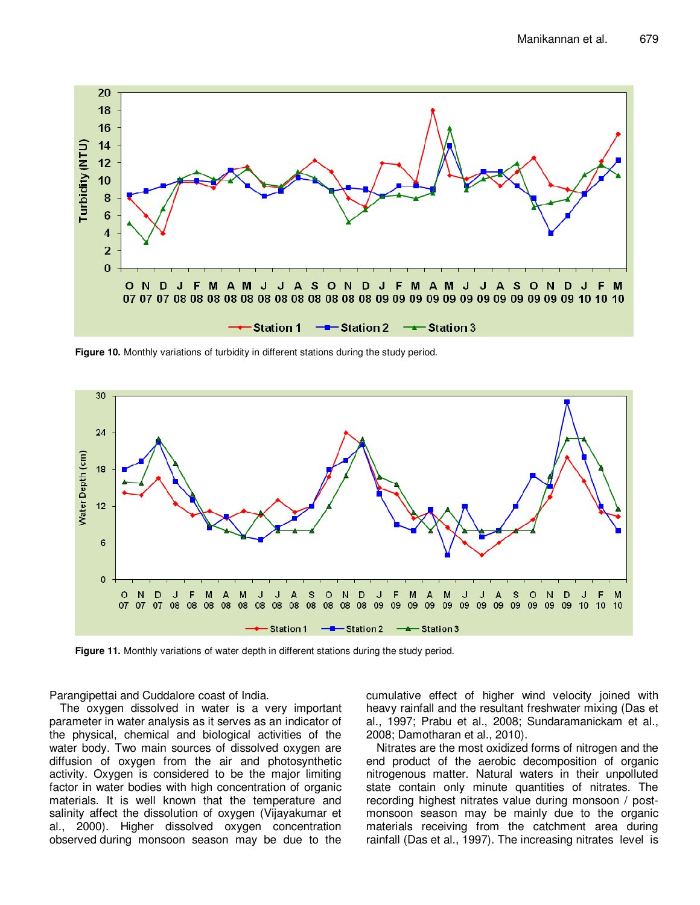

**Figure 10.** Monthly variations of turbidity in different stations during the study period.



**Figure 11.** Monthly variations of water depth in different stations during the study period.

Parangipettai and Cuddalore coast of India.

The oxygen dissolved in water is a very important parameter in water analysis as it serves as an indicator of the physical, chemical and biological activities of the water body. Two main sources of dissolved oxygen are diffusion of oxygen from the air and photosynthetic activity. Oxygen is considered to be the major limiting factor in water bodies with high concentration of organic materials. It is well known that the temperature and salinity affect the dissolution of oxygen (Vijayakumar et al., 2000). Higher dissolved oxygen concentration observed during monsoon season may be due to the cumulative effect of higher wind velocity joined with heavy rainfall and the resultant freshwater mixing (Das et al., 1997; Prabu et al., 2008; Sundaramanickam et al., 2008; Damotharan et al., 2010).

Nitrates are the most oxidized forms of nitrogen and the end product of the aerobic decomposition of organic nitrogenous matter. Natural waters in their unpolluted state contain only minute quantities of nitrates. The recording highest nitrates value during monsoon / postmonsoon season may be mainly due to the organic materials receiving from the catchment area during rainfall (Das et al., 1997). The increasing nitrates level is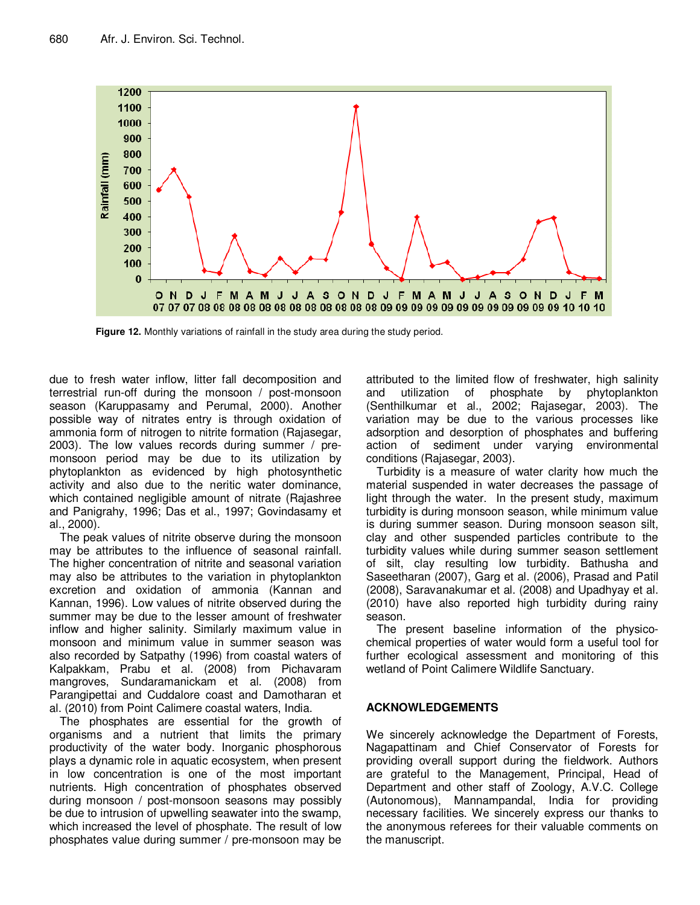

**Figure 12.** Monthly variations of rainfall in the study area during the study period.

due to fresh water inflow, litter fall decomposition and terrestrial run-off during the monsoon / post-monsoon season (Karuppasamy and Perumal, 2000). Another possible way of nitrates entry is through oxidation of ammonia form of nitrogen to nitrite formation (Rajasegar, 2003). The low values records during summer / premonsoon period may be due to its utilization by phytoplankton as evidenced by high photosynthetic activity and also due to the neritic water dominance, which contained negligible amount of nitrate (Rajashree and Panigrahy, 1996; Das et al., 1997; Govindasamy et al., 2000).

The peak values of nitrite observe during the monsoon may be attributes to the influence of seasonal rainfall. The higher concentration of nitrite and seasonal variation may also be attributes to the variation in phytoplankton excretion and oxidation of ammonia (Kannan and Kannan, 1996). Low values of nitrite observed during the summer may be due to the lesser amount of freshwater inflow and higher salinity. Similarly maximum value in monsoon and minimum value in summer season was also recorded by Satpathy (1996) from coastal waters of Kalpakkam, Prabu et al. (2008) from Pichavaram mangroves, Sundaramanickam et al. (2008) from Parangipettai and Cuddalore coast and Damotharan et al. (2010) from Point Calimere coastal waters, India.

The phosphates are essential for the growth of organisms and a nutrient that limits the primary productivity of the water body. Inorganic phosphorous plays a dynamic role in aquatic ecosystem, when present in low concentration is one of the most important nutrients. High concentration of phosphates observed during monsoon / post-monsoon seasons may possibly be due to intrusion of upwelling seawater into the swamp, which increased the level of phosphate. The result of low phosphates value during summer / pre-monsoon may be

attributed to the limited flow of freshwater, high salinity and utilization of phosphate by phytoplankton (Senthilkumar et al., 2002; Rajasegar, 2003). The variation may be due to the various processes like adsorption and desorption of phosphates and buffering action of sediment under varying environmental conditions (Rajasegar, 2003).

Turbidity is a measure of water clarity how much the material suspended in water decreases the passage of light through the water. In the present study, maximum turbidity is during monsoon season, while minimum value is during summer season. During monsoon season silt, clay and other suspended particles contribute to the turbidity values while during summer season settlement of silt, clay resulting low turbidity. Bathusha and Saseetharan (2007), Garg et al. (2006), Prasad and Patil (2008), Saravanakumar et al. (2008) and Upadhyay et al. (2010) have also reported high turbidity during rainy season.

The present baseline information of the physicochemical properties of water would form a useful tool for further ecological assessment and monitoring of this wetland of Point Calimere Wildlife Sanctuary.

# **ACKNOWLEDGEMENTS**

We sincerely acknowledge the Department of Forests, Nagapattinam and Chief Conservator of Forests for providing overall support during the fieldwork. Authors are grateful to the Management, Principal, Head of Department and other staff of Zoology, A.V.C. College (Autonomous), Mannampandal, India for providing necessary facilities. We sincerely express our thanks to the anonymous referees for their valuable comments on the manuscript.